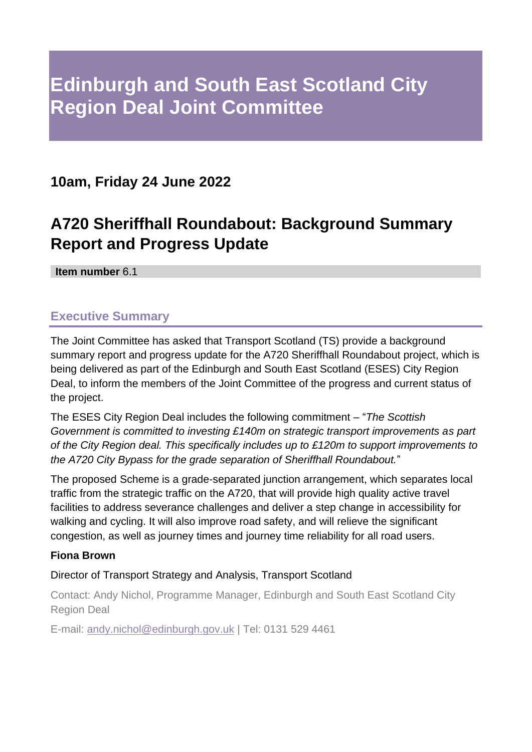# **Edinburgh and South East Scotland City Region Deal Joint Committee**

## **10am, Friday 24 June 2022**

## **A720 Sheriffhall Roundabout: Background Summary Report and Progress Update**

**Item number** 6.1

## **Executive Summary**

The Joint Committee has asked that Transport Scotland (TS) provide a background summary report and progress update for the A720 Sheriffhall Roundabout project, which is being delivered as part of the Edinburgh and South East Scotland (ESES) City Region Deal, to inform the members of the Joint Committee of the progress and current status of the project.

The ESES City Region Deal includes the following commitment – "*The Scottish Government is committed to investing £140m on strategic transport improvements as part of the City Region deal. This specifically includes up to £120m to support improvements to the A720 City Bypass for the grade separation of Sheriffhall Roundabout.*"

The proposed Scheme is a grade-separated junction arrangement, which separates local traffic from the strategic traffic on the A720, that will provide high quality active travel facilities to address severance challenges and deliver a step change in accessibility for walking and cycling. It will also improve road safety, and will relieve the significant congestion, as well as journey times and journey time reliability for all road users.

#### **Fiona Brown**

#### Director of Transport Strategy and Analysis, Transport Scotland

Contact: Andy Nichol, Programme Manager, Edinburgh and South East Scotland City Region Deal

E-mail: [andy.nichol@edinburgh.gov.uk](mailto:andy.nichol@edinburgh.gov.uk) | Tel: 0131 529 4461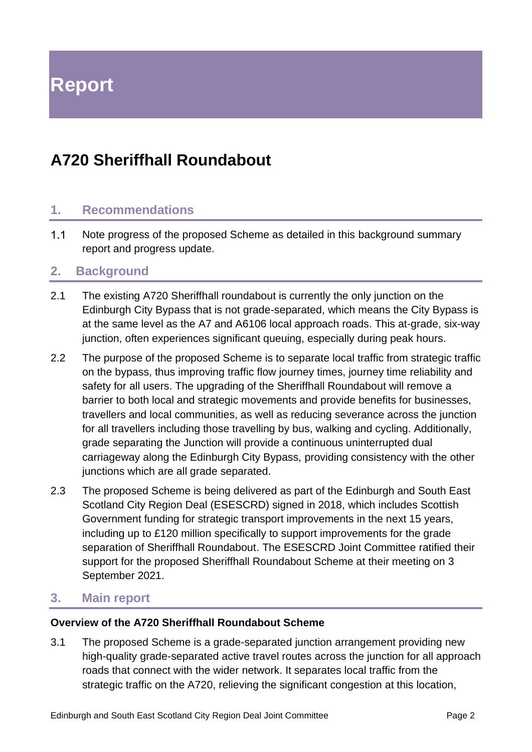**Report**

## **A720 Sheriffhall Roundabout**

#### **1. Recommendations**

 $1.1$ Note progress of the proposed Scheme as detailed in this background summary report and progress update.

#### **2. Background**

- 2.1 The existing A720 Sheriffhall roundabout is currently the only junction on the Edinburgh City Bypass that is not grade-separated, which means the City Bypass is at the same level as the A7 and A6106 local approach roads. This at-grade, six-way junction, often experiences significant queuing, especially during peak hours.
- 2.2 The purpose of the proposed Scheme is to separate local traffic from strategic traffic on the bypass, thus improving traffic flow journey times, journey time reliability and safety for all users. The upgrading of the Sheriffhall Roundabout will remove a barrier to both local and strategic movements and provide benefits for businesses, travellers and local communities, as well as reducing severance across the junction for all travellers including those travelling by bus, walking and cycling. Additionally, grade separating the Junction will provide a continuous uninterrupted dual carriageway along the Edinburgh City Bypass, providing consistency with the other junctions which are all grade separated.
- 2.3 The proposed Scheme is being delivered as part of the Edinburgh and South East Scotland City Region Deal (ESESCRD) signed in 2018, which includes Scottish Government funding for strategic transport improvements in the next 15 years, including up to £120 million specifically to support improvements for the grade separation of Sheriffhall Roundabout. The ESESCRD Joint Committee ratified their support for the proposed Sheriffhall Roundabout Scheme at their meeting on 3 September 2021.

#### **3. Main report**

#### **Overview of the A720 Sheriffhall Roundabout Scheme**

3.1 The proposed Scheme is a grade-separated junction arrangement providing new high-quality grade-separated active travel routes across the junction for all approach roads that connect with the wider network. It separates local traffic from the strategic traffic on the A720, relieving the significant congestion at this location,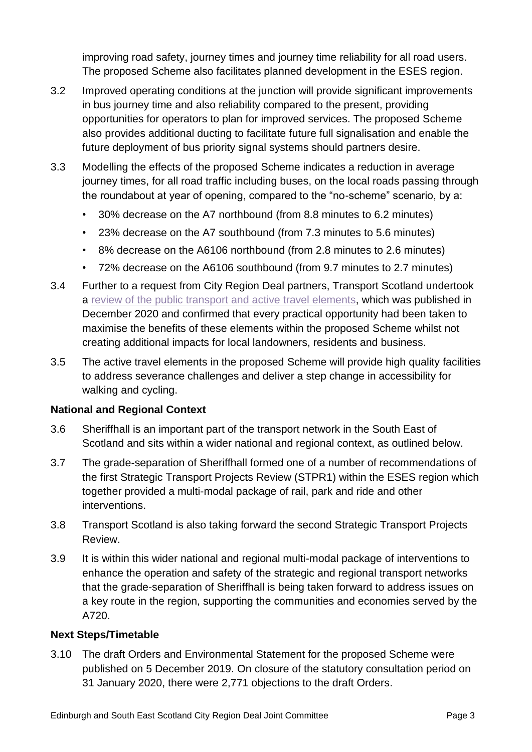improving road safety, journey times and journey time reliability for all road users. The proposed Scheme also facilitates planned development in the ESES region.

- 3.2 Improved operating conditions at the junction will provide significant improvements in bus journey time and also reliability compared to the present, providing opportunities for operators to plan for improved services. The proposed Scheme also provides additional ducting to facilitate future full signalisation and enable the future deployment of bus priority signal systems should partners desire.
- 3.3 Modelling the effects of the proposed Scheme indicates a reduction in average journey times, for all road traffic including buses, on the local roads passing through the roundabout at year of opening, compared to the "no-scheme" scenario, by a:
	- 30% decrease on the A7 northbound (from 8.8 minutes to 6.2 minutes)
	- 23% decrease on the A7 southbound (from 7.3 minutes to 5.6 minutes)
	- 8% decrease on the A6106 northbound (from 2.8 minutes to 2.6 minutes)
	- 72% decrease on the A6106 southbound (from 9.7 minutes to 2.7 minutes)
- 3.4 Further to a request from City Region Deal partners, Transport Scotland undertook a [review of the public transport and active travel elements,](https://www.transport.gov.scot/publication/a720-sheriffhall-public-transport-active-travel-review-report/) which was published in December 2020 and confirmed that every practical opportunity had been taken to maximise the benefits of these elements within the proposed Scheme whilst not creating additional impacts for local landowners, residents and business.
- 3.5 The active travel elements in the proposed Scheme will provide high quality facilities to address severance challenges and deliver a step change in accessibility for walking and cycling.

#### **National and Regional Context**

- 3.6 Sheriffhall is an important part of the transport network in the South East of Scotland and sits within a wider national and regional context, as outlined below.
- 3.7 The grade-separation of Sheriffhall formed one of a number of recommendations of the first Strategic Transport Projects Review (STPR1) within the ESES region which together provided a multi-modal package of rail, park and ride and other interventions.
- 3.8 Transport Scotland is also taking forward the second Strategic Transport Projects Review.
- 3.9 It is within this wider national and regional multi-modal package of interventions to enhance the operation and safety of the strategic and regional transport networks that the grade-separation of Sheriffhall is being taken forward to address issues on a key route in the region, supporting the communities and economies served by the A720.

#### **Next Steps/Timetable**

3.10 The draft Orders and Environmental Statement for the proposed Scheme were published on 5 December 2019. On closure of the statutory consultation period on 31 January 2020, there were 2,771 objections to the draft Orders.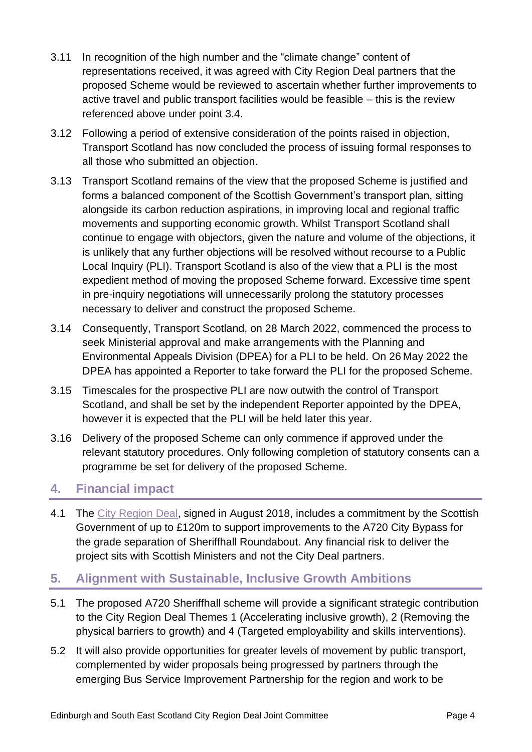- 3.11 In recognition of the high number and the "climate change" content of representations received, it was agreed with City Region Deal partners that the proposed Scheme would be reviewed to ascertain whether further improvements to active travel and public transport facilities would be feasible – this is the review referenced above under point 3.4.
- 3.12 Following a period of extensive consideration of the points raised in objection, Transport Scotland has now concluded the process of issuing formal responses to all those who submitted an objection.
- 3.13 Transport Scotland remains of the view that the proposed Scheme is justified and forms a balanced component of the Scottish Government's transport plan, sitting alongside its carbon reduction aspirations, in improving local and regional traffic movements and supporting economic growth. Whilst Transport Scotland shall continue to engage with objectors, given the nature and volume of the objections, it is unlikely that any further objections will be resolved without recourse to a Public Local Inquiry (PLI). Transport Scotland is also of the view that a PLI is the most expedient method of moving the proposed Scheme forward. Excessive time spent in pre-inquiry negotiations will unnecessarily prolong the statutory processes necessary to deliver and construct the proposed Scheme.
- 3.14 Consequently, Transport Scotland, on 28 March 2022, commenced the process to seek Ministerial approval and make arrangements with the Planning and Environmental Appeals Division (DPEA) for a PLI to be held. On 26 May 2022 the DPEA has appointed a Reporter to take forward the PLI for the proposed Scheme.
- 3.15 Timescales for the prospective PLI are now outwith the control of Transport Scotland, and shall be set by the independent Reporter appointed by the DPEA, however it is expected that the PLI will be held later this year.
- 3.16 Delivery of the proposed Scheme can only commence if approved under the relevant statutory procedures. Only following completion of statutory consents can a programme be set for delivery of the proposed Scheme.

## **4. Financial impact**

4.1 The [City Region Deal,](https://esescityregiondeal.org.uk/s/ESESCR-Deal-Document-6-August-2018-signed-9758.pdf) signed in August 2018, includes a commitment by the Scottish Government of up to £120m to support improvements to the A720 City Bypass for the grade separation of Sheriffhall Roundabout. Any financial risk to deliver the project sits with Scottish Ministers and not the City Deal partners.

## **5. Alignment with Sustainable, Inclusive Growth Ambitions**

- 5.1 The proposed A720 Sheriffhall scheme will provide a significant strategic contribution to the City Region Deal Themes 1 (Accelerating inclusive growth), 2 (Removing the physical barriers to growth) and 4 (Targeted employability and skills interventions).
- 5.2 It will also provide opportunities for greater levels of movement by public transport, complemented by wider proposals being progressed by partners through the emerging Bus Service Improvement Partnership for the region and work to be